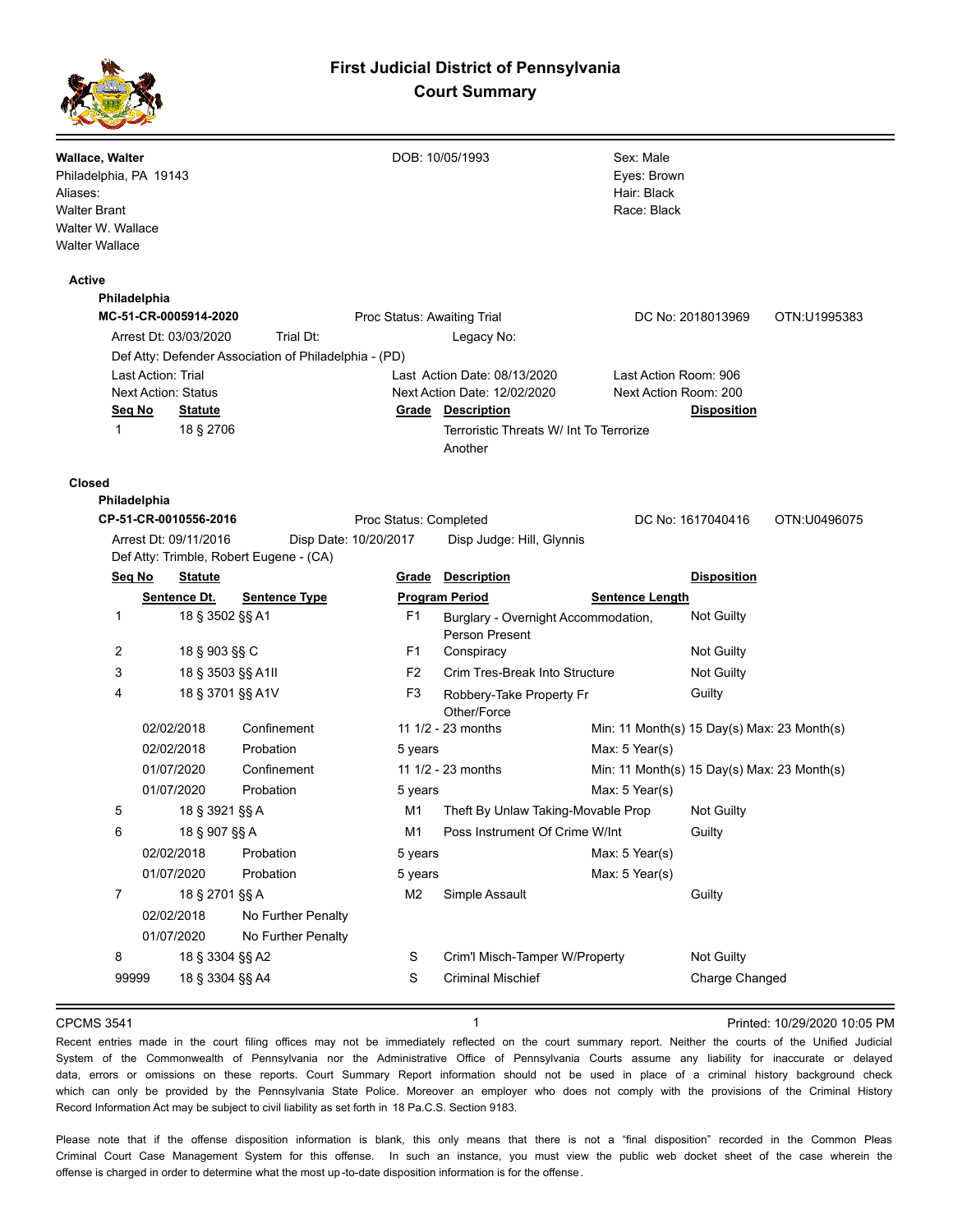## **First Judicial District of Pennsylvania Court Summary**



| Wallace, Walter<br>Philadelphia, PA 19143 |                       |                                                                                                                                                                                                                                                                                                                                                                                                                                                                                                                                                                                                                                                                                                                                                                                                                                                                                                                                                                                                                                                                                                                                                                                                                                                                                                                                                                                                                                                                                                                                                                                                                                                                             |   |                                | Sex: Male   |                |  |  |
|-------------------------------------------|-----------------------|-----------------------------------------------------------------------------------------------------------------------------------------------------------------------------------------------------------------------------------------------------------------------------------------------------------------------------------------------------------------------------------------------------------------------------------------------------------------------------------------------------------------------------------------------------------------------------------------------------------------------------------------------------------------------------------------------------------------------------------------------------------------------------------------------------------------------------------------------------------------------------------------------------------------------------------------------------------------------------------------------------------------------------------------------------------------------------------------------------------------------------------------------------------------------------------------------------------------------------------------------------------------------------------------------------------------------------------------------------------------------------------------------------------------------------------------------------------------------------------------------------------------------------------------------------------------------------------------------------------------------------------------------------------------------------|---|--------------------------------|-------------|----------------|--|--|
| Aliases:                                  |                       |                                                                                                                                                                                                                                                                                                                                                                                                                                                                                                                                                                                                                                                                                                                                                                                                                                                                                                                                                                                                                                                                                                                                                                                                                                                                                                                                                                                                                                                                                                                                                                                                                                                                             |   |                                | Hair: Black |                |  |  |
| <b>Walter Brant</b>                       |                       |                                                                                                                                                                                                                                                                                                                                                                                                                                                                                                                                                                                                                                                                                                                                                                                                                                                                                                                                                                                                                                                                                                                                                                                                                                                                                                                                                                                                                                                                                                                                                                                                                                                                             |   |                                | Race: Black |                |  |  |
| Walter W. Wallace                         |                       |                                                                                                                                                                                                                                                                                                                                                                                                                                                                                                                                                                                                                                                                                                                                                                                                                                                                                                                                                                                                                                                                                                                                                                                                                                                                                                                                                                                                                                                                                                                                                                                                                                                                             |   |                                |             |                |  |  |
| <b>Walter Wallace</b>                     |                       |                                                                                                                                                                                                                                                                                                                                                                                                                                                                                                                                                                                                                                                                                                                                                                                                                                                                                                                                                                                                                                                                                                                                                                                                                                                                                                                                                                                                                                                                                                                                                                                                                                                                             |   |                                |             |                |  |  |
| Active                                    |                       |                                                                                                                                                                                                                                                                                                                                                                                                                                                                                                                                                                                                                                                                                                                                                                                                                                                                                                                                                                                                                                                                                                                                                                                                                                                                                                                                                                                                                                                                                                                                                                                                                                                                             |   |                                |             |                |  |  |
| Philadelphia                              |                       |                                                                                                                                                                                                                                                                                                                                                                                                                                                                                                                                                                                                                                                                                                                                                                                                                                                                                                                                                                                                                                                                                                                                                                                                                                                                                                                                                                                                                                                                                                                                                                                                                                                                             |   |                                |             |                |  |  |
| MC-51-CR-0005914-2020                     |                       |                                                                                                                                                                                                                                                                                                                                                                                                                                                                                                                                                                                                                                                                                                                                                                                                                                                                                                                                                                                                                                                                                                                                                                                                                                                                                                                                                                                                                                                                                                                                                                                                                                                                             |   |                                |             |                |  |  |
|                                           | Arrest Dt: 03/03/2020 | DOB: 10/05/1993<br>Eyes: Brown<br>Proc Status: Awaiting Trial<br>DC No: 2018013969<br>OTN:U1995383<br>Trial Dt:<br>Legacy No:<br>Def Atty: Defender Association of Philadelphia - (PD)<br>Last Action Date: 08/13/2020<br>Last Action Room: 906<br>Next Action Date: 12/02/2020<br>Next Action Room: 200<br><b>Grade Description</b><br><b>Disposition</b><br><u>Statute</u><br>18 § 2706<br>Terroristic Threats W/ Int To Terrorize<br>Another<br>Proc Status: Completed<br>DC No: 1617040416<br>OTN:U0496075<br>Disp Date: 10/20/2017<br>Disp Judge: Hill, Glynnis<br>Def Atty: Trimble, Robert Eugene - (CA)<br>Grade<br><b>Description</b><br><b>Disposition</b><br><b>Statute</b><br>Sentence Dt.<br><b>Program Period</b><br><b>Sentence Type</b><br><b>Sentence Length</b><br>18 § 3502 §§ A1<br>F1<br>Not Guilty<br>Burglary - Overnight Accommodation,<br>Person Present<br>18 § 903 §§ C<br>F1<br>Not Guilty<br>Conspiracy<br>18 § 3503 §§ A1II<br>F <sub>2</sub><br>Crim Tres-Break Into Structure<br>Not Guilty<br>18 § 3701 §§ A1V<br>F3<br>Guilty<br>Robbery-Take Property Fr<br>Other/Force<br>11 1/2 - 23 months<br>Confinement<br>Min: 11 Month(s) 15 Day(s) Max: 23 Month(s)<br>Probation<br>Max: 5 Year(s)<br>5 years<br>Confinement<br>11 1/2 - 23 months<br>Min: 11 Month(s) 15 Day(s) Max: 23 Month(s)<br>Probation<br>Max: 5 Year(s)<br>5 years<br>M1<br>Theft By Unlaw Taking-Movable Prop<br>Not Guilty<br>18 § 3921 §§ A<br>18 § 907 §§ A<br>M1<br>Poss Instrument Of Crime W/Int<br>Guilty<br>Probation<br>5 years<br>$Max: 5$ Year(s)<br>Max: 5 Year(s)<br>Probation<br>5 years<br>M <sub>2</sub><br>Guilty<br>18 § 2701 §§ A<br>Simple Assault |   |                                |             |                |  |  |
|                                           |                       |                                                                                                                                                                                                                                                                                                                                                                                                                                                                                                                                                                                                                                                                                                                                                                                                                                                                                                                                                                                                                                                                                                                                                                                                                                                                                                                                                                                                                                                                                                                                                                                                                                                                             |   |                                |             |                |  |  |
|                                           | Last Action: Trial    |                                                                                                                                                                                                                                                                                                                                                                                                                                                                                                                                                                                                                                                                                                                                                                                                                                                                                                                                                                                                                                                                                                                                                                                                                                                                                                                                                                                                                                                                                                                                                                                                                                                                             |   |                                |             |                |  |  |
| <b>Next Action: Status</b>                |                       |                                                                                                                                                                                                                                                                                                                                                                                                                                                                                                                                                                                                                                                                                                                                                                                                                                                                                                                                                                                                                                                                                                                                                                                                                                                                                                                                                                                                                                                                                                                                                                                                                                                                             |   |                                |             |                |  |  |
| Seg No                                    |                       |                                                                                                                                                                                                                                                                                                                                                                                                                                                                                                                                                                                                                                                                                                                                                                                                                                                                                                                                                                                                                                                                                                                                                                                                                                                                                                                                                                                                                                                                                                                                                                                                                                                                             |   |                                |             |                |  |  |
| 1                                         |                       |                                                                                                                                                                                                                                                                                                                                                                                                                                                                                                                                                                                                                                                                                                                                                                                                                                                                                                                                                                                                                                                                                                                                                                                                                                                                                                                                                                                                                                                                                                                                                                                                                                                                             |   |                                |             |                |  |  |
| Closed                                    |                       |                                                                                                                                                                                                                                                                                                                                                                                                                                                                                                                                                                                                                                                                                                                                                                                                                                                                                                                                                                                                                                                                                                                                                                                                                                                                                                                                                                                                                                                                                                                                                                                                                                                                             |   |                                |             |                |  |  |
| Philadelphia                              |                       |                                                                                                                                                                                                                                                                                                                                                                                                                                                                                                                                                                                                                                                                                                                                                                                                                                                                                                                                                                                                                                                                                                                                                                                                                                                                                                                                                                                                                                                                                                                                                                                                                                                                             |   |                                |             |                |  |  |
|                                           | CP-51-CR-0010556-2016 |                                                                                                                                                                                                                                                                                                                                                                                                                                                                                                                                                                                                                                                                                                                                                                                                                                                                                                                                                                                                                                                                                                                                                                                                                                                                                                                                                                                                                                                                                                                                                                                                                                                                             |   |                                |             |                |  |  |
|                                           | Arrest Dt: 09/11/2016 |                                                                                                                                                                                                                                                                                                                                                                                                                                                                                                                                                                                                                                                                                                                                                                                                                                                                                                                                                                                                                                                                                                                                                                                                                                                                                                                                                                                                                                                                                                                                                                                                                                                                             |   |                                |             |                |  |  |
|                                           |                       |                                                                                                                                                                                                                                                                                                                                                                                                                                                                                                                                                                                                                                                                                                                                                                                                                                                                                                                                                                                                                                                                                                                                                                                                                                                                                                                                                                                                                                                                                                                                                                                                                                                                             |   |                                |             |                |  |  |
| Seq No                                    |                       |                                                                                                                                                                                                                                                                                                                                                                                                                                                                                                                                                                                                                                                                                                                                                                                                                                                                                                                                                                                                                                                                                                                                                                                                                                                                                                                                                                                                                                                                                                                                                                                                                                                                             |   |                                |             |                |  |  |
|                                           |                       |                                                                                                                                                                                                                                                                                                                                                                                                                                                                                                                                                                                                                                                                                                                                                                                                                                                                                                                                                                                                                                                                                                                                                                                                                                                                                                                                                                                                                                                                                                                                                                                                                                                                             |   |                                |             |                |  |  |
| 1                                         |                       |                                                                                                                                                                                                                                                                                                                                                                                                                                                                                                                                                                                                                                                                                                                                                                                                                                                                                                                                                                                                                                                                                                                                                                                                                                                                                                                                                                                                                                                                                                                                                                                                                                                                             |   |                                |             |                |  |  |
| 2                                         |                       |                                                                                                                                                                                                                                                                                                                                                                                                                                                                                                                                                                                                                                                                                                                                                                                                                                                                                                                                                                                                                                                                                                                                                                                                                                                                                                                                                                                                                                                                                                                                                                                                                                                                             |   |                                |             |                |  |  |
| 3                                         |                       |                                                                                                                                                                                                                                                                                                                                                                                                                                                                                                                                                                                                                                                                                                                                                                                                                                                                                                                                                                                                                                                                                                                                                                                                                                                                                                                                                                                                                                                                                                                                                                                                                                                                             |   |                                |             |                |  |  |
| 4                                         |                       |                                                                                                                                                                                                                                                                                                                                                                                                                                                                                                                                                                                                                                                                                                                                                                                                                                                                                                                                                                                                                                                                                                                                                                                                                                                                                                                                                                                                                                                                                                                                                                                                                                                                             |   |                                |             |                |  |  |
|                                           |                       |                                                                                                                                                                                                                                                                                                                                                                                                                                                                                                                                                                                                                                                                                                                                                                                                                                                                                                                                                                                                                                                                                                                                                                                                                                                                                                                                                                                                                                                                                                                                                                                                                                                                             |   |                                |             |                |  |  |
|                                           | 02/02/2018            |                                                                                                                                                                                                                                                                                                                                                                                                                                                                                                                                                                                                                                                                                                                                                                                                                                                                                                                                                                                                                                                                                                                                                                                                                                                                                                                                                                                                                                                                                                                                                                                                                                                                             |   |                                |             |                |  |  |
|                                           | 02/02/2018            |                                                                                                                                                                                                                                                                                                                                                                                                                                                                                                                                                                                                                                                                                                                                                                                                                                                                                                                                                                                                                                                                                                                                                                                                                                                                                                                                                                                                                                                                                                                                                                                                                                                                             |   |                                |             |                |  |  |
|                                           | 01/07/2020            |                                                                                                                                                                                                                                                                                                                                                                                                                                                                                                                                                                                                                                                                                                                                                                                                                                                                                                                                                                                                                                                                                                                                                                                                                                                                                                                                                                                                                                                                                                                                                                                                                                                                             |   |                                |             |                |  |  |
|                                           | 01/07/2020            |                                                                                                                                                                                                                                                                                                                                                                                                                                                                                                                                                                                                                                                                                                                                                                                                                                                                                                                                                                                                                                                                                                                                                                                                                                                                                                                                                                                                                                                                                                                                                                                                                                                                             |   |                                |             |                |  |  |
| 5                                         |                       |                                                                                                                                                                                                                                                                                                                                                                                                                                                                                                                                                                                                                                                                                                                                                                                                                                                                                                                                                                                                                                                                                                                                                                                                                                                                                                                                                                                                                                                                                                                                                                                                                                                                             |   |                                |             |                |  |  |
| 6                                         |                       |                                                                                                                                                                                                                                                                                                                                                                                                                                                                                                                                                                                                                                                                                                                                                                                                                                                                                                                                                                                                                                                                                                                                                                                                                                                                                                                                                                                                                                                                                                                                                                                                                                                                             |   |                                |             |                |  |  |
|                                           | 02/02/2018            |                                                                                                                                                                                                                                                                                                                                                                                                                                                                                                                                                                                                                                                                                                                                                                                                                                                                                                                                                                                                                                                                                                                                                                                                                                                                                                                                                                                                                                                                                                                                                                                                                                                                             |   |                                |             |                |  |  |
|                                           | 01/07/2020            |                                                                                                                                                                                                                                                                                                                                                                                                                                                                                                                                                                                                                                                                                                                                                                                                                                                                                                                                                                                                                                                                                                                                                                                                                                                                                                                                                                                                                                                                                                                                                                                                                                                                             |   |                                |             |                |  |  |
| 7                                         |                       |                                                                                                                                                                                                                                                                                                                                                                                                                                                                                                                                                                                                                                                                                                                                                                                                                                                                                                                                                                                                                                                                                                                                                                                                                                                                                                                                                                                                                                                                                                                                                                                                                                                                             |   |                                |             |                |  |  |
|                                           | 02/02/2018            | No Further Penalty                                                                                                                                                                                                                                                                                                                                                                                                                                                                                                                                                                                                                                                                                                                                                                                                                                                                                                                                                                                                                                                                                                                                                                                                                                                                                                                                                                                                                                                                                                                                                                                                                                                          |   |                                |             |                |  |  |
|                                           | 01/07/2020            | No Further Penalty                                                                                                                                                                                                                                                                                                                                                                                                                                                                                                                                                                                                                                                                                                                                                                                                                                                                                                                                                                                                                                                                                                                                                                                                                                                                                                                                                                                                                                                                                                                                                                                                                                                          |   |                                |             |                |  |  |
| 8                                         | 18 § 3304 §§ A2       |                                                                                                                                                                                                                                                                                                                                                                                                                                                                                                                                                                                                                                                                                                                                                                                                                                                                                                                                                                                                                                                                                                                                                                                                                                                                                                                                                                                                                                                                                                                                                                                                                                                                             | S | Crim'l Misch-Tamper W/Property |             | Not Guilty     |  |  |
| 99999                                     | 18 § 3304 §§ A4       |                                                                                                                                                                                                                                                                                                                                                                                                                                                                                                                                                                                                                                                                                                                                                                                                                                                                                                                                                                                                                                                                                                                                                                                                                                                                                                                                                                                                                                                                                                                                                                                                                                                                             | S | <b>Criminal Mischief</b>       |             | Charge Changed |  |  |
|                                           |                       |                                                                                                                                                                                                                                                                                                                                                                                                                                                                                                                                                                                                                                                                                                                                                                                                                                                                                                                                                                                                                                                                                                                                                                                                                                                                                                                                                                                                                                                                                                                                                                                                                                                                             |   |                                |             |                |  |  |

CPCMS 3541 **1 1 1 1 1 1 1 1 Printed: 10/29/2020 10:05 PM** 

Recent entries made in the court filing offices may not be immediately reflected on the court summary report. Neither the courts of the Unified Judicial System of the Commonwealth of Pennsylvania nor the Administrative Office of Pennsylvania Courts assume any liability for inaccurate or delayed data, errors or omissions on these reports. Court Summary Report information should not be used in place of a criminal history background check which can only be provided by the Pennsylvania State Police. Moreover an employer who does not comply with the provisions of the Criminal History Record Information Act may be subject to civil liability as set forth in 18 Pa.C.S. Section 9183.

Please note that if the offense disposition information is blank, this only means that there is not a "final disposition" recorded in the Common Pleas Criminal Court Case Management System for this offense. In such an instance, you must view the public web docket sheet of the case wherein the offense is charged in order to determine what the most up -to-date disposition information is for the offense.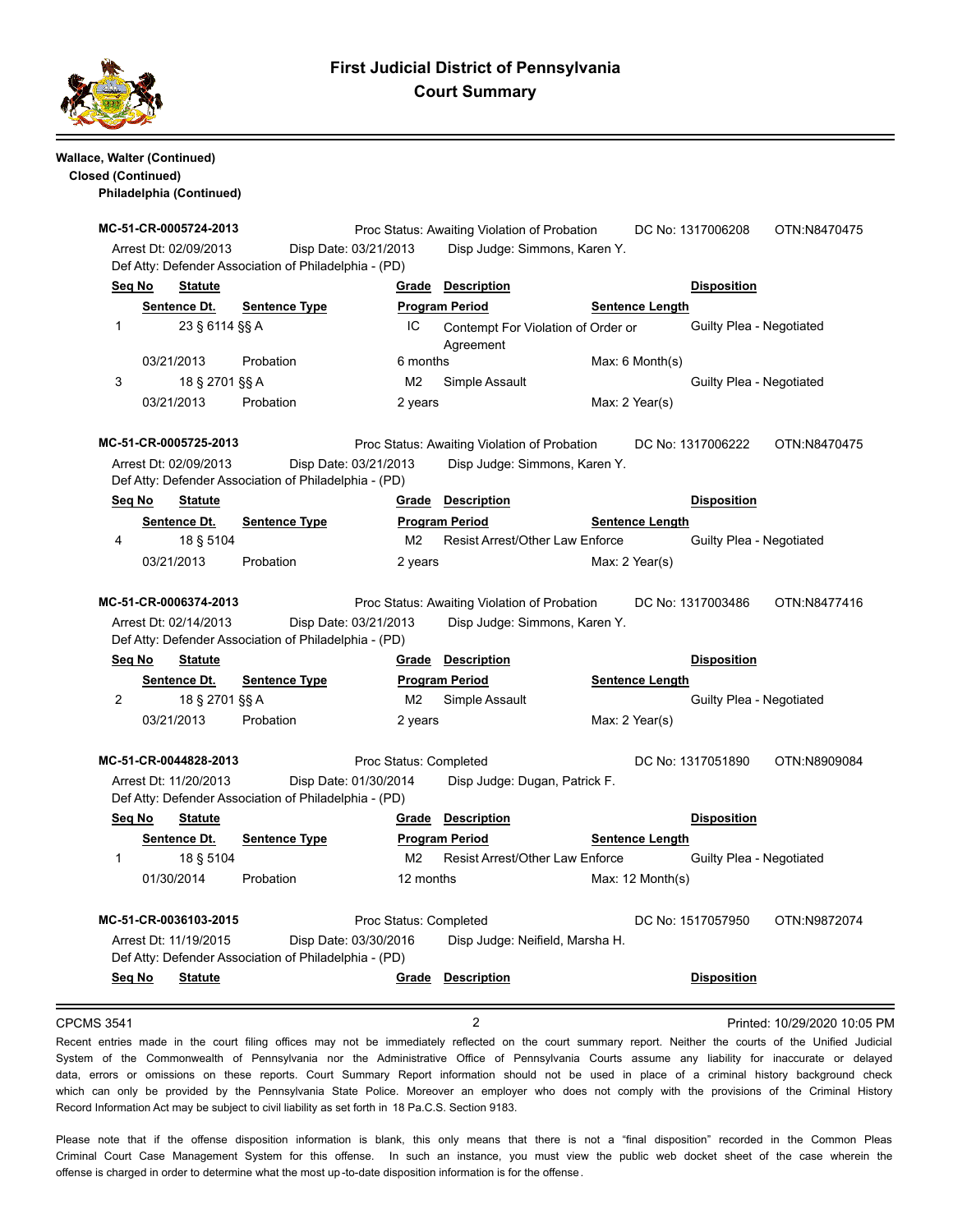

# **First Judicial District of Pennsylvania Court Summary**

### **Wallace, Walter (Continued) Closed (Continued)**

**Philadelphia (Continued)**

# **MC-51-CR-0005724-2013** Proc Status: Awaiting Violation of Probation DC No: 1317006208 OTN:N8470475 Arrest Dt: 02/09/2013 Disp Date: 03/21/2013 Disp Judge: Simmons, Karen Y. Def Atty: Defender Association of Philadelphia - (PD) **Seq No Statute Grade Description Disposition Sentence Dt.** Sentence Type **Program Period Sentence Length** 1 23 § 6114 §§ A 1C Contempt For Violation of Order or Guilty Plea - Negotiated Agreement 03/21/2013 Probation 6 months Max: 6 Month(s) 3 18 § 2701 §§ A M2 Simple Assault Guilty Plea - Negotiated 03/21/2013 Probation 2 years Max: 2 Year(s) **MC-51-CR-0005725-2013** Proc Status: Awaiting Violation of Probation DC No: 1317006222 OTN:N8470475 Arrest Dt: 02/09/2013 Disp Date: 03/21/2013 Disp Judge: Simmons, Karen Y. Def Atty: Defender Association of Philadelphia - (PD) **Seq No Statute Grade Description Disposition Sentence Dt.** Sentence Type **Program Period Sentence Length**  4 18 § 5104 M2 Resist Arrest/Other Law Enforce Guilty Plea - Negotiated 03/21/2013 Probation 2 years Max: 2 Year(s) **MC-51-CR-0006374-2013** Proc Status: Awaiting Violation of Probation DC No: 1317003486 OTN:N8477416 Arrest Dt: 02/14/2013 Disp Date: 03/21/2013 Disp Judge: Simmons, Karen Y. Def Atty: Defender Association of Philadelphia - (PD) **Seq No Statute Grade Description Disposition Sentence Dt. Sentence Type Program Period Program Period Sentence Length** 2 18 § 2701 §§ A M2 Simple Assault Guilty Plea - Negotiated 03/21/2013 Probation 2 years Max: 2 Year(s) **MC-51-CR-0044828-2013** Proc Status: Completed DC No: 1317051890 OTN:N8909084 Arrest Dt: 11/20/2013 Disp Date: 01/30/2014 Disp Judge: Dugan, Patrick F. Def Atty: Defender Association of Philadelphia - (PD) **Seq No Statute Grade Description Disposition Sentence Dt. Sentence Type Program Period Sentence Length** 1 18 § 5104 M2 Resist Arrest/Other Law Enforce Guilty Plea - Negotiated 01/30/2014 Probation 12 months Max: 12 Month(s) **MC-51-CR-0036103-2015** Proc Status: Completed DC No: 1517057950 OTN:N9872074 Arrest Dt: 11/19/2015 Disp Date: 03/30/2016 Disp Judge: Neifield, Marsha H. Def Atty: Defender Association of Philadelphia - (PD) **Seq No Statute Grade Description Disposition** CPCMS 3541 2 Printed: 10/29/2020 10:05 PM

Recent entries made in the court filing offices may not be immediately reflected on the court summary report. Neither the courts of the Unified Judicial System of the Commonwealth of Pennsylvania nor the Administrative Office of Pennsylvania Courts assume any liability for inaccurate or delayed data, errors or omissions on these reports. Court Summary Report information should not be used in place of a criminal history background check which can only be provided by the Pennsylvania State Police. Moreover an employer who does not comply with the provisions of the Criminal History Record Information Act may be subject to civil liability as set forth in 18 Pa.C.S. Section 9183.

Please note that if the offense disposition information is blank, this only means that there is not a "final disposition" recorded in the Common Pleas Criminal Court Case Management System for this offense. In such an instance, you must view the public web docket sheet of the case wherein the offense is charged in order to determine what the most up -to-date disposition information is for the offense.